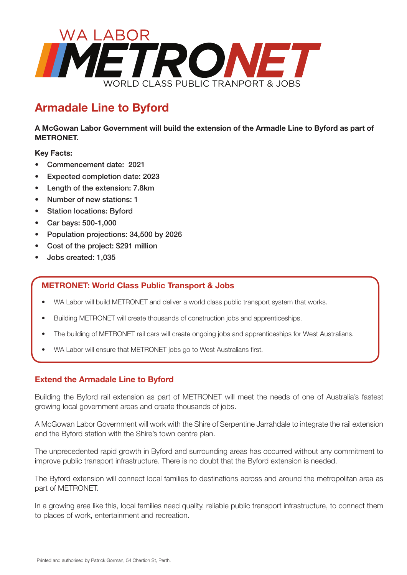

## **Armadale Line to Byford**

**A McGowan Labor Government will build the extension of the Armadle Line to Byford as part of METRONET.** 

## **Key Facts:**

- Commencement date: 2021
- Expected completion date: 2023
- Length of the extension: 7.8km
- Number of new stations: 1
- Station locations: Byford
- Car bays: 500-1,000
- Population projections: 34,500 by 2026
- Cost of the project: \$291 million
- Jobs created: 1,035

## **METRONET: World Class Public Transport & Jobs**

- WA Labor will build METRONET and deliver a world class public transport system that works.
- Building METRONET will create thousands of construction jobs and apprenticeships.
- The building of METRONET rail cars will create ongoing jobs and apprenticeships for West Australians.
- WA Labor will ensure that METRONET jobs go to West Australians first.

## **Extend the Armadale Line to Byford**

Building the Byford rail extension as part of METRONET will meet the needs of one of Australia's fastest growing local government areas and create thousands of jobs.

A McGowan Labor Government will work with the Shire of Serpentine Jarrahdale to integrate the rail extension and the Byford station with the Shire's town centre plan.

The unprecedented rapid growth in Byford and surrounding areas has occurred without any commitment to improve public transport infrastructure. There is no doubt that the Byford extension is needed.

The Byford extension will connect local families to destinations across and around the metropolitan area as part of METRONET.

In a growing area like this, local families need quality, reliable public transport infrastructure, to connect them to places of work, entertainment and recreation.